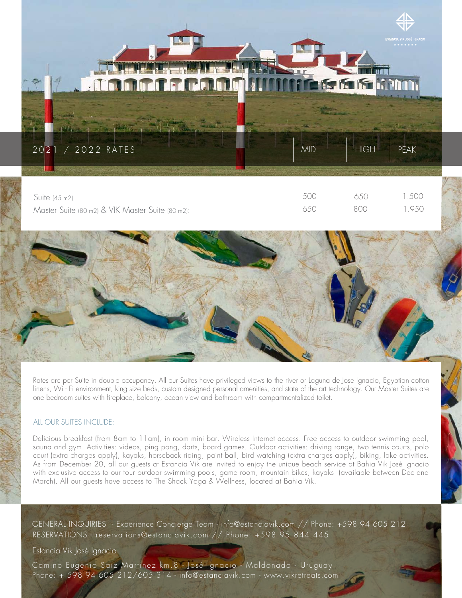

| Suite (45 m2)                                    |     | 650 | .500  |
|--------------------------------------------------|-----|-----|-------|
| Master Suite (80 m2) & VIK Master Suite (80 m2): | 650 | 800 | 1.950 |

Rates are per Suite in double occupancy. All our Suites have privileged views to the river or Laguna de Jose Ignacio, Egyptian cotton linens, Wi - Fi environment, king size beds, custom designed personal amenities, and state of the art technology. Our Master Suites are one bedroom suites with fireplace, balcony, ocean view and bathroom with compartmentalized toilet.

## ALL OUR SUITES INCLUDE:

Delicious breakfast (from 8am to 11am), in room mini bar. Wireless Internet access. Free access to outdoor swimming pool, sauna and gym. Activities: videos, ping pong, darts, board games. Outdoor activities: driving range, two tennis courts, polo court (extra charges apply), kayaks, horseback riding, paint ball, bird watching (extra charges apply), biking, lake activities. As from December 20, all our guests at Estancia Vik are invited to enjoy the unique beach service at Bahia Vik José Ignacio with exclusive access to our four outdoor swimming pools, game room, mountain bikes, kayaks (available between Dec and March). All our guests have access to The Shack Yoga & Wellness, located at Bahia Vik.

.

RESERVATIONS - reservations@estanciavik.com // Phone: +598 95 844 445 GENERAL INQUIRIES - Experience Concierge Team - info@estanciavik.com // Phone: +598 94 605 212

## Estancia Vik José Ignacio

Camino Eugenio Saiz Martinez km.8 - José Ignacio - Maldonado - Uruguay Phone: + 598 94 605 212/605 314 - info@estanciavik.com - www.vikretreats.com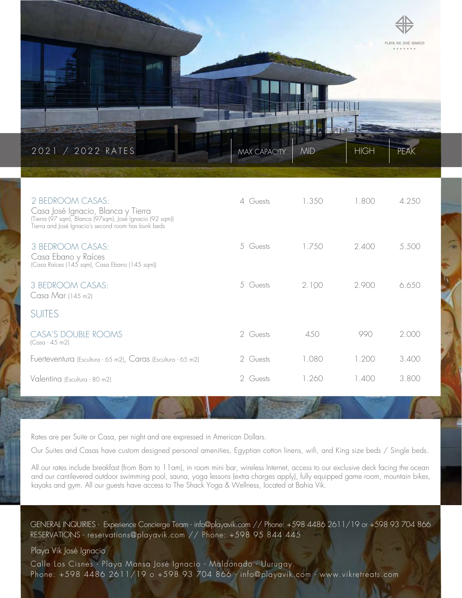

| 2 BEDROOM CASAS:<br>Casa José Ignacio, Blanca y Tierra<br>(Tierra (97 sqm), Blanca (97 sqm), José Ignacio (92 sqm))<br>Tierra and José Ignacio's second room has bunk beds | 4 Guests | 1.350 | 1.800 | 4.250 |
|----------------------------------------------------------------------------------------------------------------------------------------------------------------------------|----------|-------|-------|-------|
| 3 BEDROOM CASAS:<br>Casa Ebano y Raíces<br>(Casa Raíces (145 sqm), Casa Ebano (145 sqm))                                                                                   | 5 Guests | 1.750 | 2.400 | 5.500 |
| 3 BEDROOM CASAS:<br>Casa Mar (145 m2)                                                                                                                                      | 5 Guests | 2.100 | 2.900 | 6.650 |
| <b>SUITES</b>                                                                                                                                                              |          |       |       |       |
| <b>CASA'S DOUBLE ROOMS</b><br>$(Casa - 45 m2)$                                                                                                                             | 2 Guests | 450   | 990   | 2.000 |
| Fuerteventura (Escultura - 65 m2), Caras (Escultura - 65 m2)                                                                                                               | 2 Guests | 1.080 | 1.200 | 3.400 |
| Valentina (Escultura - 80 m2)                                                                                                                                              | 2 Guests | 1.260 | 1.400 | 3.800 |

Rates are per Suite or Casa, per night and are expressed in American Dollars.

Our Suites and Casas have custom designed personal amenities, Egyptian cotton linens, wifi, and King size beds / Single beds.

All our rates include breakfast (from 8am to 11am), in room mini bar, wireless Internet, access to our exclusive deck facing the ocean and our cantilevered outdoor swimming pool, sauna, yoga lessons (extra charges apply), fully equipped game room, mountain bikes, kayaks and gym. All our guests have access to The Shack Yoga & Wellness, located at Bahia Vik.

GENERAL INQUIRIES - Experience Concierge Team - info@playavik.com // Phone: +598 4486 2611/19 or +598 93 704 866 RESERVATIONS - reservations@playavik.com // Phone: +598 95 844 445

Playa Vik José Ignacio

 Calle Los Cisnes - Playa Mansa José Ignacio - Maldonado - Uurugay. Phone: +598 4486 2611/19 o +598 93 704 866 - info@playavik.com - www.vikretreats.com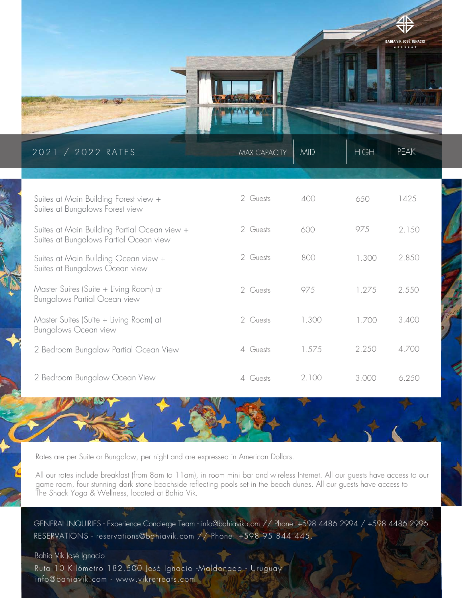

| 2021 / 2022 RATES                                                                      | <b>MAX CAPACITY</b> | <b>MID</b> | <b>HIGH</b> | <b>PEAK</b> |
|----------------------------------------------------------------------------------------|---------------------|------------|-------------|-------------|
|                                                                                        |                     |            |             |             |
| Suites at Main Building Forest view +<br>Suites at Bungalows Forest view               | 2 Guests            | 400        | 6.50        | 1425        |
| Suites at Main Building Partial Ocean view +<br>Suites at Bungalows Partial Ocean view | 2 Guests            | 600        | 975         | 2 1.50      |
| Suites at Main Building Ocean view +<br>Suites at Bungalows Ocean view                 | 2 Guests            | 800        | 1.300       | 2.850       |
| Master Suites (Suite + Living Room) at<br>Bungalows Partial Ocean view                 | 2 Guests            | 975        | 1.275       | 2.550       |
| Master Suites (Suite + Living Room) at<br>Bungalows Ocean view                         | 2 Guests            | 1.300      | 1700        | 3.400       |
| 2 Bedroom Bungalow Partial Ocean View                                                  | 4 Guests            | 1.575      | 2.250       | 4.700       |
| 2 Bedroom Bungalow Ocean View                                                          | Guests              | 2.100      | 3.000       | 6.250       |

Rates are per Suite or Bungalow, per night and are expressed in American Dollars.

All our rates include breakfast (from 8am to 11am), in room mini bar and wireless Internet. All our guests have access to our game room, four stunning dark stone beachside reflecting pools set in the beach dunes. All our guests have access to The Shack Yoga & Wellness, located at Bahia Vik.

RESERVATIONS - reservations@bahiavik.com // Phone: +598 95 844 445. GENERAL INQUIRIES - Experience Concierge Team - info@bahiavik.com // Phone: +598 4486 2994 / +598 4486 2996.

.

Bahia Vik José Ignacio

Ruta 10 Kilómetro 182,500 José Ignacio - Maldonado - Uruguay info@bahiavik.com - www.vikretreats.com